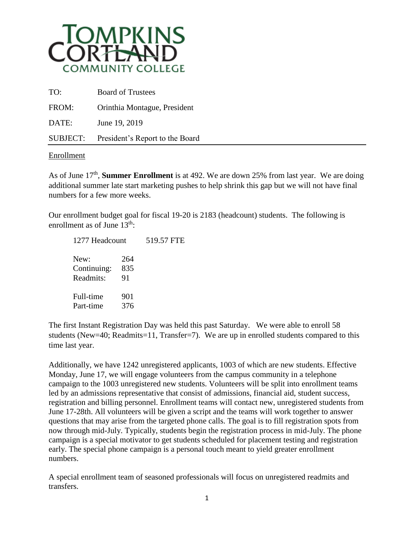

| TO:      | <b>Board of Trustees</b>        |
|----------|---------------------------------|
| FROM:    | Orinthia Montague, President    |
| DATE:    | June 19, 2019                   |
| SUBJECT: | President's Report to the Board |

## Enrollment

As of June 17<sup>th</sup>, **Summer Enrollment** is at 492. We are down 25% from last year. We are doing additional summer late start marketing pushes to help shrink this gap but we will not have final numbers for a few more weeks.

Our enrollment budget goal for fiscal 19-20 is 2183 (headcount) students. The following is enrollment as of June  $13<sup>th</sup>$ :

| 1277 Headcount                   |                  | 519.57 FTE |
|----------------------------------|------------------|------------|
| New:<br>Continuing:<br>Readmits: | 264<br>835<br>91 |            |
| Full-time<br>Part-time           | 901<br>376       |            |

The first Instant Registration Day was held this past Saturday. We were able to enroll 58 students (New=40; Readmits=11, Transfer=7). We are up in enrolled students compared to this time last year.

Additionally, we have 1242 unregistered applicants, 1003 of which are new students. Effective Monday, June 17, we will engage volunteers from the campus community in a telephone campaign to the 1003 unregistered new students. Volunteers will be split into enrollment teams led by an admissions representative that consist of admissions, financial aid, student success, registration and billing personnel. Enrollment teams will contact new, unregistered students from June 17-28th. All volunteers will be given a script and the teams will work together to answer questions that may arise from the targeted phone calls. The goal is to fill registration spots from now through mid-July. Typically, students begin the registration process in mid-July. The phone campaign is a special motivator to get students scheduled for placement testing and registration early. The special phone campaign is a personal touch meant to yield greater enrollment numbers.

A special enrollment team of seasoned professionals will focus on unregistered readmits and transfers.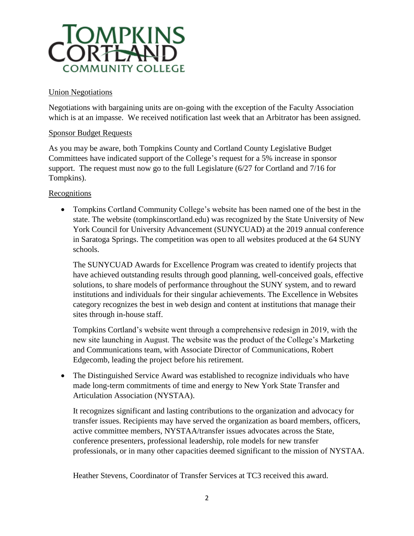

# Union Negotiations

Negotiations with bargaining units are on-going with the exception of the Faculty Association which is at an impasse. We received notification last week that an Arbitrator has been assigned.

## Sponsor Budget Requests

As you may be aware, both Tompkins County and Cortland County Legislative Budget Committees have indicated support of the College's request for a 5% increase in sponsor support. The request must now go to the full Legislature (6/27 for Cortland and 7/16 for Tompkins).

## Recognitions

 Tompkins Cortland Community College's website has been named one of the best in the state. The website (tompkinscortland.edu) was recognized by the State University of New York Council for University Advancement (SUNYCUAD) at the 2019 annual conference in Saratoga Springs. The competition was open to all websites produced at the 64 SUNY schools.

The SUNYCUAD Awards for Excellence Program was created to identify projects that have achieved outstanding results through good planning, well-conceived goals, effective solutions, to share models of performance throughout the SUNY system, and to reward institutions and individuals for their singular achievements. The Excellence in Websites category recognizes the best in web design and content at institutions that manage their sites through in-house staff.

Tompkins Cortland's website went through a comprehensive redesign in 2019, with the new site launching in August. The website was the product of the College's Marketing and Communications team, with Associate Director of Communications, Robert Edgecomb, leading the project before his retirement.

 The Distinguished Service Award was established to recognize individuals who have made long-term commitments of time and energy to New York State Transfer and Articulation Association (NYSTAA).

It recognizes significant and lasting contributions to the organization and advocacy for transfer issues. Recipients may have served the organization as board members, officers, active committee members, NYSTAA/transfer issues advocates across the State, conference presenters, professional leadership, role models for new transfer professionals, or in many other capacities deemed significant to the mission of NYSTAA.

Heather Stevens, Coordinator of Transfer Services at TC3 received this award.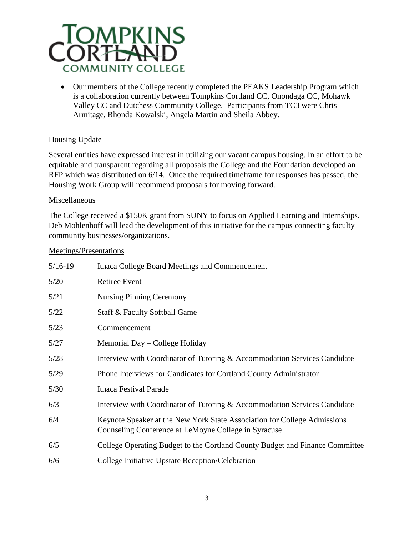

 Our members of the College recently completed the PEAKS Leadership Program which is a collaboration currently between Tompkins Cortland CC, Onondaga CC, Mohawk Valley CC and Dutchess Community College. Participants from TC3 were Chris Armitage, Rhonda Kowalski, Angela Martin and Sheila Abbey.

## Housing Update

Several entities have expressed interest in utilizing our vacant campus housing. In an effort to be equitable and transparent regarding all proposals the College and the Foundation developed an RFP which was distributed on 6/14. Once the required timeframe for responses has passed, the Housing Work Group will recommend proposals for moving forward.

#### Miscellaneous

The College received a \$150K grant from SUNY to focus on Applied Learning and Internships. Deb Mohlenhoff will lead the development of this initiative for the campus connecting faculty community businesses/organizations.

#### Meetings/Presentations

| $5/16-19$ | Ithaca College Board Meetings and Commencement                                                                                   |
|-----------|----------------------------------------------------------------------------------------------------------------------------------|
| 5/20      | <b>Retiree Event</b>                                                                                                             |
| 5/21      | <b>Nursing Pinning Ceremony</b>                                                                                                  |
| 5/22      | Staff & Faculty Softball Game                                                                                                    |
| 5/23      | Commencement                                                                                                                     |
| 5/27      | Memorial Day – College Holiday                                                                                                   |
| 5/28      | Interview with Coordinator of Tutoring & Accommodation Services Candidate                                                        |
| 5/29      | Phone Interviews for Candidates for Cortland County Administrator                                                                |
| 5/30      | <b>Ithaca Festival Parade</b>                                                                                                    |
| 6/3       | Interview with Coordinator of Tutoring & Accommodation Services Candidate                                                        |
| 6/4       | Keynote Speaker at the New York State Association for College Admissions<br>Counseling Conference at LeMoyne College in Syracuse |
| 6/5       | College Operating Budget to the Cortland County Budget and Finance Committee                                                     |
| 6/6       | College Initiative Upstate Reception/Celebration                                                                                 |